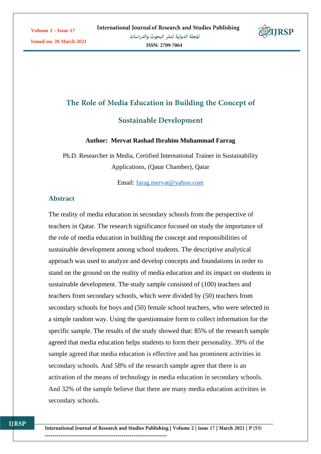Issued on: 20 March 2021



# The Role of Media Education in Building the Concept of

# **Sustainable Development**

#### **Author: Mervat Rashad Ibrahim Muhammad Farrag**

Ph.D. Researcher in Media, Certified International Trainer in Sustainability Applications, (Qatar Chamber), Qatar

Email: [farag.mervat@yahoo.com](mailto:farag.mervat@yahoo.com)

### **Abstract**

The reality of media education in secondary schools from the perspective of teachers in Qatar. The research significance focused on study the importance of the role of media education in building the concept and responsibilities of sustainable development among school students. The descriptive analytical approach was used to analyze and develop concepts and foundations in order to stand on the ground on the reality of media education and its impact on students in sustainable development. The study sample consisted of (100) teachers and teachers from secondary schools, which were divided by (50) teachers from secondary schools for boys and (50) female school teachers, who were selected in a simple random way. Using the questionnaire form to collect information for the specific sample. The results of the study showed that: 85% of the research sample agreed that media education helps students to form their personality. 39% of the sample agreed that media education is effective and has prominent activities in secondary schools. And 58% of the research sample agree that there is an activation of the means of technology in media education in secondary schools. And 32% of the sample believe that there are many media education activities in secondary schools.

**ITRSP**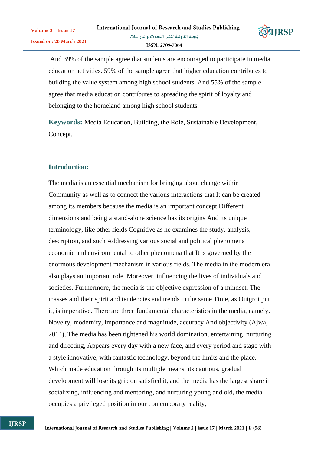

And 39% of the sample agree that students are encouraged to participate in media education activities. 59% of the sample agree that higher education contributes to building the value system among high school students. And 55% of the sample agree that media education contributes to spreading the spirit of loyalty and belonging to the homeland among high school students.

**Keywords:** Media Education, Building, the Role, Sustainable Development, Concept.

## **Introduction:**

The media is an essential mechanism for bringing about change within Community as well as to connect the various interactions that It can be created among its members because the media is an important concept Different dimensions and being a stand-alone science has its origins And its unique terminology, like other fields Cognitive as he examines the study, analysis, description, and such Addressing various social and political phenomena economic and environmental to other phenomena that It is governed by the enormous development mechanism in various fields. The media in the modern era also plays an important role. Moreover, influencing the lives of individuals and societies. Furthermore, the media is the objective expression of a mindset. The masses and their spirit and tendencies and trends in the same Time, as Outgrot put it, is imperative. There are three fundamental characteristics in the media, namely. Novelty, modernity, importance and magnitude, accuracy And objectivity (Ajwa, 2014), The media has been tightened his world domination, entertaining, nurturing and directing, Appears every day with a new face, and every period and stage with a style innovative, with fantastic technology, beyond the limits and the place. Which made education through its multiple means, its cautious, gradual development will lose its grip on satisfied it, and the media has the largest share in socializing, influencing and mentoring, and nurturing young and old, the media occupies a privileged position in our contemporary reality,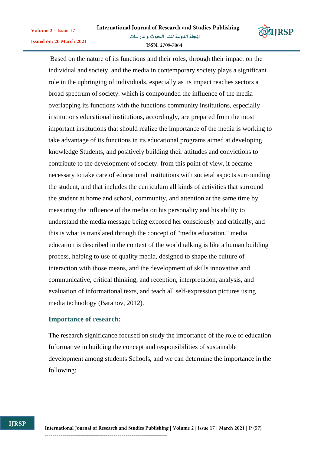

Based on the nature of its functions and their roles, through their impact on the individual and society, and the media in contemporary society plays a significant role in the upbringing of individuals, especially as its impact reaches sectors a broad spectrum of society. which is compounded the influence of the media overlapping its functions with the functions community institutions, especially institutions educational institutions, accordingly, are prepared from the most important institutions that should realize the importance of the media is working to take advantage of its functions in its educational programs aimed at developing knowledge Students, and positively building their attitudes and convictions to contribute to the development of society. from this point of view, it became necessary to take care of educational institutions with societal aspects surrounding the student, and that includes the curriculum all kinds of activities that surround the student at home and school, community, and attention at the same time by measuring the influence of the media on his personality and his ability to understand the media message being exposed her consciously and critically, and this is what is translated through the concept of "media education." media education is described in the context of the world talking is like a human building process, helping to use of quality media, designed to shape the culture of interaction with those means, and the development of skills innovative and communicative, critical thinking, and reception, interpretation, analysis, and evaluation of informational texts, and teach all self-expression pictures using media technology (Baranov, 2012).

# **Importance of research:**

Volume 2 - Issue 17

Issued on: 20 March 2021

The research significance focused on study the importance of the role of education Informative in building the concept and responsibilities of sustainable development among students Schools, and we can determine the importance in the following: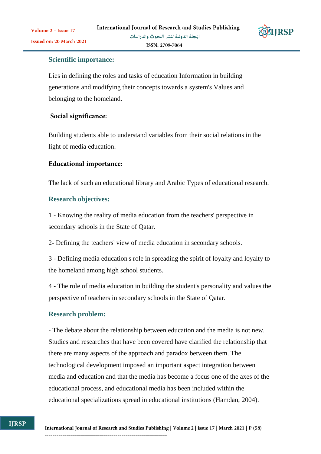

ISSN: 2709-7064

# **Scientific importance:**

Lies in defining the roles and tasks of education Information in building generations and modifying their concepts towards a system's Values and belonging to the homeland.

# Social significance:

Building students able to understand variables from their social relations in the light of media education.

# **Educational importance:**

The lack of such an educational library and Arabic Types of educational research.

# **Research objectives:**

1 - Knowing the reality of media education from the teachers' perspective in secondary schools in the State of Qatar.

2- Defining the teachers' view of media education in secondary schools.

3 - Defining media education's role in spreading the spirit of loyalty and loyalty to the homeland among high school students.

4 - The role of media education in building the student's personality and values the perspective of teachers in secondary schools in the State of Qatar.

# **Research problem:**

- The debate about the relationship between education and the media is not new. Studies and researches that have been covered have clarified the relationship that there are many aspects of the approach and paradox between them. The technological development imposed an important aspect integration between media and education and that the media has become a focus one of the axes of the educational process, and educational media has been included within the educational specializations spread in educational institutions (Hamdan, 2004).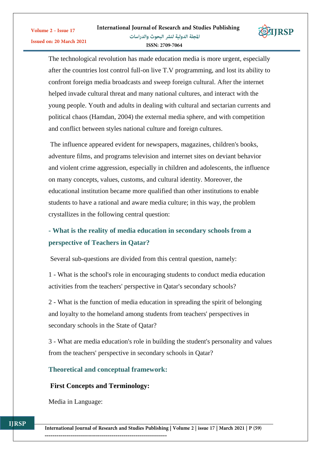

The technological revolution has made education media is more urgent, especially after the countries lost control full-on live T.V programming, and lost its ability to confront foreign media broadcasts and sweep foreign cultural. After the internet helped invade cultural threat and many national cultures, and interact with the young people. Youth and adults in dealing with cultural and sectarian currents and political chaos (Hamdan, 2004) the external media sphere, and with competition and conflict between styles national culture and foreign cultures.

The influence appeared evident for newspapers, magazines, children's books, adventure films, and programs television and internet sites on deviant behavior and violent crime aggression, especially in children and adolescents, the influence on many concepts, values, customs, and cultural identity. Moreover, the educational institution became more qualified than other institutions to enable students to have a rational and aware media culture; in this way, the problem crystallizes in the following central question:

# **- What is the reality of media education in secondary schools from a perspective of Teachers in Qatar?**

Several sub-questions are divided from this central question, namely:

1 - What is the school's role in encouraging students to conduct media education activities from the teachers' perspective in Qatar's secondary schools?

2 - What is the function of media education in spreading the spirit of belonging and loyalty to the homeland among students from teachers' perspectives in secondary schools in the State of Qatar?

3 - What are media education's role in building the student's personality and values from the teachers' perspective in secondary schools in Qatar?

# **Theoretical and conceptual framework:**

#### **First Concepts and Terminology:**

Media in Language:

Volume 2 - Issue 17

Issued on: 20 March 2021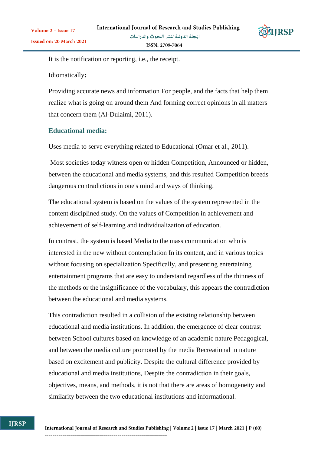

It is the notification or reporting, i.e., the receipt.

Idiomatically**:** 

Providing accurate news and information For people, and the facts that help them realize what is going on around them And forming correct opinions in all matters that concern them (Al-Dulaimi, 2011).

# **Educational media:**

Uses media to serve everything related to Educational (Omar et al., 2011).

Most societies today witness open or hidden Competition, Announced or hidden, between the educational and media systems, and this resulted Competition breeds dangerous contradictions in one's mind and ways of thinking.

The educational system is based on the values of the system represented in the content disciplined study. On the values of Competition in achievement and achievement of self-learning and individualization of education.

In contrast, the system is based Media to the mass communication who is interested in the new without contemplation In its content, and in various topics without focusing on specialization Specifically, and presenting entertaining entertainment programs that are easy to understand regardless of the thinness of the methods or the insignificance of the vocabulary, this appears the contradiction between the educational and media systems.

This contradiction resulted in a collision of the existing relationship between educational and media institutions. In addition, the emergence of clear contrast between School cultures based on knowledge of an academic nature Pedagogical, and between the media culture promoted by the media Recreational in nature based on excitement and publicity. Despite the cultural difference provided by educational and media institutions, Despite the contradiction in their goals, objectives, means, and methods, it is not that there are areas of homogeneity and similarity between the two educational institutions and informational.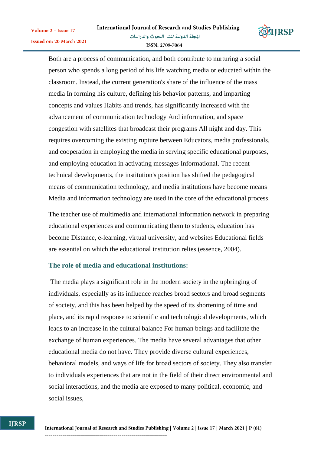

Both are a process of communication, and both contribute to nurturing a social person who spends a long period of his life watching media or educated within the classroom. Instead, the current generation's share of the influence of the mass media In forming his culture, defining his behavior patterns, and imparting concepts and values Habits and trends, has significantly increased with the advancement of communication technology And information, and space congestion with satellites that broadcast their programs All night and day. This requires overcoming the existing rupture between Educators, media professionals, and cooperation in employing the media in serving specific educational purposes, and employing education in activating messages Informational. The recent technical developments, the institution's position has shifted the pedagogical means of communication technology, and media institutions have become means Media and information technology are used in the core of the educational process.

The teacher use of multimedia and international information network in preparing educational experiences and communicating them to students, education has become Distance, e-learning, virtual university, and websites Educational fields are essential on which the educational institution relies (essence, 2004).

# **The role of media and educational institutions:**

Volume 2 - Issue 17

Issued on: 20 March 2021

The media plays a significant role in the modern society in the upbringing of individuals, especially as its influence reaches broad sectors and broad segments of society, and this has been helped by the speed of its shortening of time and place, and its rapid response to scientific and technological developments, which leads to an increase in the cultural balance For human beings and facilitate the exchange of human experiences. The media have several advantages that other educational media do not have. They provide diverse cultural experiences, behavioral models, and ways of life for broad sectors of society. They also transfer to individuals experiences that are not in the field of their direct environmental and social interactions, and the media are exposed to many political, economic, and social issues,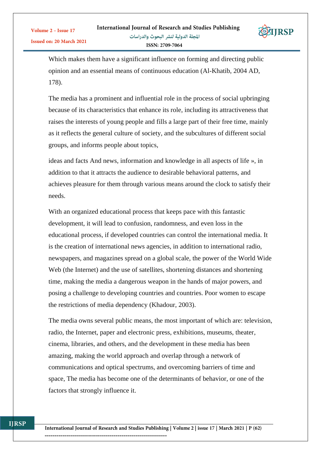

Which makes them have a significant influence on forming and directing public opinion and an essential means of continuous education (Al-Khatib, 2004 AD, 178).

The media has a prominent and influential role in the process of social upbringing because of its characteristics that enhance its role, including its attractiveness that raises the interests of young people and fills a large part of their free time, mainly as it reflects the general culture of society, and the subcultures of different social groups, and informs people about topics,

ideas and facts And news, information and knowledge in all aspects of life », in addition to that it attracts the audience to desirable behavioral patterns, and achieves pleasure for them through various means around the clock to satisfy their needs.

With an organized educational process that keeps pace with this fantastic development, it will lead to confusion, randomness, and even loss in the educational process, if developed countries can control the international media. It is the creation of international news agencies, in addition to international radio, newspapers, and magazines spread on a global scale, the power of the World Wide Web (the Internet) and the use of satellites, shortening distances and shortening time, making the media a dangerous weapon in the hands of major powers, and posing a challenge to developing countries and countries. Poor women to escape the restrictions of media dependency (Khadour, 2003).

The media owns several public means, the most important of which are: television, radio, the Internet, paper and electronic press, exhibitions, museums, theater, cinema, libraries, and others, and the development in these media has been amazing, making the world approach and overlap through a network of communications and optical spectrums, and overcoming barriers of time and space, The media has become one of the determinants of behavior, or one of the factors that strongly influence it.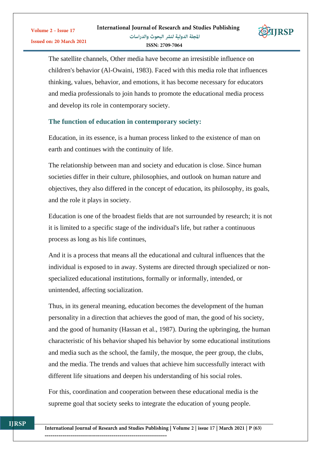

The satellite channels, Other media have become an irresistible influence on children's behavior (Al-Owaini, 1983). Faced with this media role that influences thinking, values, behavior, and emotions, it has become necessary for educators and media professionals to join hands to promote the educational media process and develop its role in contemporary society.

# **The function of education in contemporary society:**

Volume 2 - Issue 17

Education, in its essence, is a human process linked to the existence of man on earth and continues with the continuity of life.

The relationship between man and society and education is close. Since human societies differ in their culture, philosophies, and outlook on human nature and objectives, they also differed in the concept of education, its philosophy, its goals, and the role it plays in society.

Education is one of the broadest fields that are not surrounded by research; it is not it is limited to a specific stage of the individual's life, but rather a continuous process as long as his life continues,

And it is a process that means all the educational and cultural influences that the individual is exposed to in away. Systems are directed through specialized or nonspecialized educational institutions, formally or informally, intended, or unintended, affecting socialization.

Thus, in its general meaning, education becomes the development of the human personality in a direction that achieves the good of man, the good of his society, and the good of humanity (Hassan et al., 1987). During the upbringing, the human characteristic of his behavior shaped his behavior by some educational institutions and media such as the school, the family, the mosque, the peer group, the clubs, and the media. The trends and values that achieve him successfully interact with different life situations and deepen his understanding of his social roles.

For this, coordination and cooperation between these educational media is the supreme goal that society seeks to integrate the education of young people.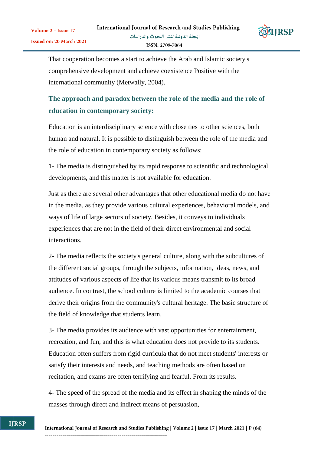

That cooperation becomes a start to achieve the Arab and Islamic society's comprehensive development and achieve coexistence Positive with the international community (Metwally, 2004).

# **The approach and paradox between the role of the media and the role of education in contemporary society:**

Education is an interdisciplinary science with close ties to other sciences, both human and natural. It is possible to distinguish between the role of the media and the role of education in contemporary society as follows:

1- The media is distinguished by its rapid response to scientific and technological developments, and this matter is not available for education.

Just as there are several other advantages that other educational media do not have in the media, as they provide various cultural experiences, behavioral models, and ways of life of large sectors of society, Besides, it conveys to individuals experiences that are not in the field of their direct environmental and social interactions.

2- The media reflects the society's general culture, along with the subcultures of the different social groups, through the subjects, information, ideas, news, and attitudes of various aspects of life that its various means transmit to its broad audience. In contrast, the school culture is limited to the academic courses that derive their origins from the community's cultural heritage. The basic structure of the field of knowledge that students learn.

3- The media provides its audience with vast opportunities for entertainment, recreation, and fun, and this is what education does not provide to its students. Education often suffers from rigid curricula that do not meet students' interests or satisfy their interests and needs, and teaching methods are often based on recitation, and exams are often terrifying and fearful. From its results.

4- The speed of the spread of the media and its effect in shaping the minds of the masses through direct and indirect means of persuasion,

**IIRSP**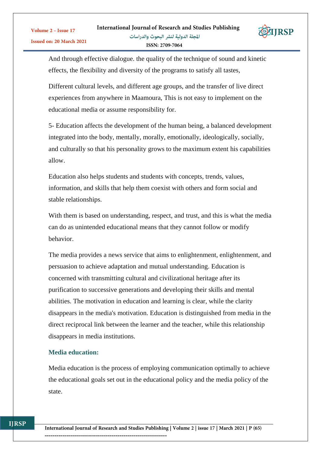

And through effective dialogue. the quality of the technique of sound and kinetic effects, the flexibility and diversity of the programs to satisfy all tastes,

Different cultural levels, and different age groups, and the transfer of live direct experiences from anywhere in Maamoura, This is not easy to implement on the educational media or assume responsibility for.

5- Education affects the development of the human being, a balanced development integrated into the body, mentally, morally, emotionally, ideologically, socially, and culturally so that his personality grows to the maximum extent his capabilities allow.

Education also helps students and students with concepts, trends, values, information, and skills that help them coexist with others and form social and stable relationships.

With them is based on understanding, respect, and trust, and this is what the media can do as unintended educational means that they cannot follow or modify behavior.

The media provides a news service that aims to enlightenment, enlightenment, and persuasion to achieve adaptation and mutual understanding. Education is concerned with transmitting cultural and civilizational heritage after its purification to successive generations and developing their skills and mental abilities. The motivation in education and learning is clear, while the clarity disappears in the media's motivation. Education is distinguished from media in the direct reciprocal link between the learner and the teacher, while this relationship disappears in media institutions.

## **Media education:**

**IIRSP** 

Media education is the process of employing communication optimally to achieve the educational goals set out in the educational policy and the media policy of the state.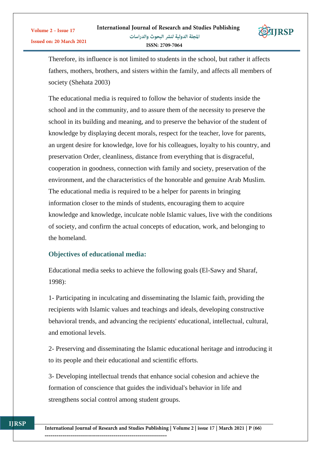

Therefore, its influence is not limited to students in the school, but rather it affects fathers, mothers, brothers, and sisters within the family, and affects all members of society (Shehata 2003)

The educational media is required to follow the behavior of students inside the school and in the community, and to assure them of the necessity to preserve the school in its building and meaning, and to preserve the behavior of the student of knowledge by displaying decent morals, respect for the teacher, love for parents, an urgent desire for knowledge, love for his colleagues, loyalty to his country, and preservation Order, cleanliness, distance from everything that is disgraceful, cooperation in goodness, connection with family and society, preservation of the environment, and the characteristics of the honorable and genuine Arab Muslim. The educational media is required to be a helper for parents in bringing information closer to the minds of students, encouraging them to acquire knowledge and knowledge, inculcate noble Islamic values, live with the conditions of society, and confirm the actual concepts of education, work, and belonging to the homeland.

# **Objectives of educational media:**

Educational media seeks to achieve the following goals (El-Sawy and Sharaf, 1998):

1- Participating in inculcating and disseminating the Islamic faith, providing the recipients with Islamic values and teachings and ideals, developing constructive behavioral trends, and advancing the recipients' educational, intellectual, cultural, and emotional levels.

2- Preserving and disseminating the Islamic educational heritage and introducing it to its people and their educational and scientific efforts.

3- Developing intellectual trends that enhance social cohesion and achieve the formation of conscience that guides the individual's behavior in life and strengthens social control among student groups.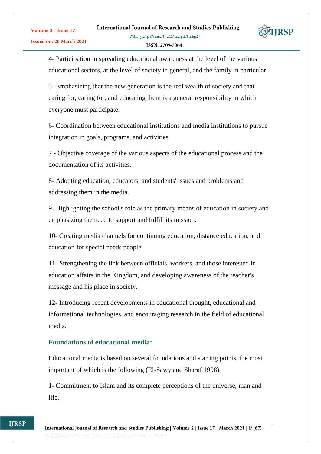

4- Participation in spreading educational awareness at the level of the various educational sectors, at the level of society in general, and the family in particular.

5- Emphasizing that the new generation is the real wealth of society and that caring for, caring for, and educating them is a general responsibility in which everyone must participate.

6- Coordination between educational institutions and media institutions to pursue integration in goals, programs, and activities.

7 - Objective coverage of the various aspects of the educational process and the documentation of its activities.

8- Adopting education, educators, and students' issues and problems and addressing them in the media.

9- Highlighting the school's role as the primary means of education in society and emphasizing the need to support and fulfill its mission.

10- Creating media channels for continuing education, distance education, and education for special needs people.

11- Strengthening the link between officials, workers, and those interested in education affairs in the Kingdom, and developing awareness of the teacher's message and his place in society.

12- Introducing recent developments in educational thought, educational and informational technologies, and encouraging research in the field of educational media.

# **Foundations of educational media:**

Educational media is based on several foundations and starting points, the most important of which is the following (El-Sawy and Sharaf 1998)

1- Commitment to Islam and its complete perceptions of the universe, man and life,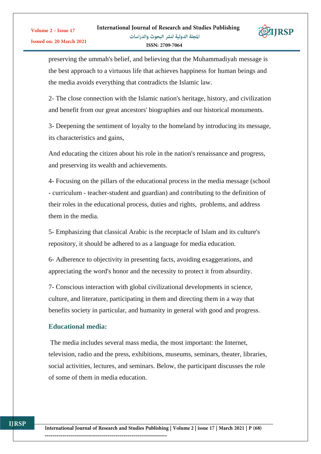

preserving the ummah's belief, and believing that the Muhammadiyah message is the best approach to a virtuous life that achieves happiness for human beings and the media avoids everything that contradicts the Islamic law.

2- The close connection with the Islamic nation's heritage, history, and civilization and benefit from our great ancestors' biographies and our historical monuments.

3- Deepening the sentiment of loyalty to the homeland by introducing its message, its characteristics and gains,

And educating the citizen about his role in the nation's renaissance and progress, and preserving its wealth and achievements.

4- Focusing on the pillars of the educational process in the media message (school - curriculum - teacher-student and guardian) and contributing to the definition of their roles in the educational process, duties and rights, problems, and address them in the media.

5- Emphasizing that classical Arabic is the receptacle of Islam and its culture's repository, it should be adhered to as a language for media education.

6- Adherence to objectivity in presenting facts, avoiding exaggerations, and appreciating the word's honor and the necessity to protect it from absurdity.

7- Conscious interaction with global civilizational developments in science, culture, and literature, participating in them and directing them in a way that benefits society in particular, and humanity in general with good and progress.

# **Educational media:**

The media includes several mass media, the most important: the Internet, television, radio and the press, exhibitions, museums, seminars, theater, libraries, social activities, lectures, and seminars. Below, the participant discusses the role of some of them in media education.

**ITRSP**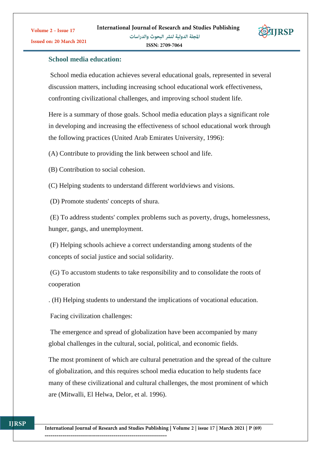

ISSN: 2709-7064

# **School media education:**

School media education achieves several educational goals, represented in several discussion matters, including increasing school educational work effectiveness, confronting civilizational challenges, and improving school student life.

Here is a summary of those goals. School media education plays a significant role in developing and increasing the effectiveness of school educational work through the following practices (United Arab Emirates University, 1996):

(A) Contribute to providing the link between school and life.

(B) Contribution to social cohesion.

(C) Helping students to understand different worldviews and visions.

(D) Promote students' concepts of shura.

(E) To address students' complex problems such as poverty, drugs, homelessness, hunger, gangs, and unemployment.

(F) Helping schools achieve a correct understanding among students of the concepts of social justice and social solidarity.

(G) To accustom students to take responsibility and to consolidate the roots of cooperation

. (H) Helping students to understand the implications of vocational education.

Facing civilization challenges:

The emergence and spread of globalization have been accompanied by many global challenges in the cultural, social, political, and economic fields.

The most prominent of which are cultural penetration and the spread of the culture of globalization, and this requires school media education to help students face many of these civilizational and cultural challenges, the most prominent of which are (Mitwalli, El Helwa, Delor, et al. 1996).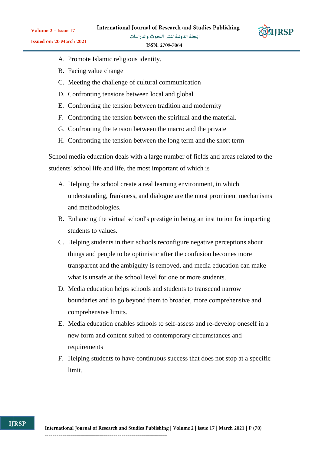**IJRSP** 

Volume 2 - Issue 17

المجلة الدولية لنشر البحوث والدراسات ISSN: 2709-7064

- A. Promote Islamic religious identity.
- B. Facing value change
- C. Meeting the challenge of cultural communication
- D. Confronting tensions between local and global
- E. Confronting the tension between tradition and modernity
- F. Confronting the tension between the spiritual and the material.
- G. Confronting the tension between the macro and the private
- H. Confronting the tension between the long term and the short term

School media education deals with a large number of fields and areas related to the students' school life and life, the most important of which is

- A. Helping the school create a real learning environment, in which understanding, frankness, and dialogue are the most prominent mechanisms and methodologies.
- B. Enhancing the virtual school's prestige in being an institution for imparting students to values.
- C. Helping students in their schools reconfigure negative perceptions about things and people to be optimistic after the confusion becomes more transparent and the ambiguity is removed, and media education can make what is unsafe at the school level for one or more students.
- D. Media education helps schools and students to transcend narrow boundaries and to go beyond them to broader, more comprehensive and comprehensive limits.
- E. Media education enables schools to self-assess and re-develop oneself in a new form and content suited to contemporary circumstances and requirements
- F. Helping students to have continuous success that does not stop at a specific limit.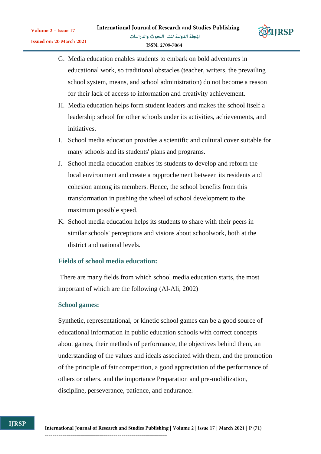

- G. Media education enables students to embark on bold adventures in educational work, so traditional obstacles (teacher, writers, the prevailing school system, means, and school administration) do not become a reason for their lack of access to information and creativity achievement.
- H. Media education helps form student leaders and makes the school itself a leadership school for other schools under its activities, achievements, and initiatives.
- I. School media education provides a scientific and cultural cover suitable for many schools and its students' plans and programs.
- J. School media education enables its students to develop and reform the local environment and create a rapprochement between its residents and cohesion among its members. Hence, the school benefits from this transformation in pushing the wheel of school development to the maximum possible speed.
- K. School media education helps its students to share with their peers in similar schools' perceptions and visions about schoolwork, both at the district and national levels.

# **Fields of school media education:**

There are many fields from which school media education starts, the most important of which are the following (Al-Ali, 2002)

#### **School games:**

Synthetic, representational, or kinetic school games can be a good source of educational information in public education schools with correct concepts about games, their methods of performance, the objectives behind them, an understanding of the values and ideals associated with them, and the promotion of the principle of fair competition, a good appreciation of the performance of others or others, and the importance Preparation and pre-mobilization, discipline, perseverance, patience, and endurance.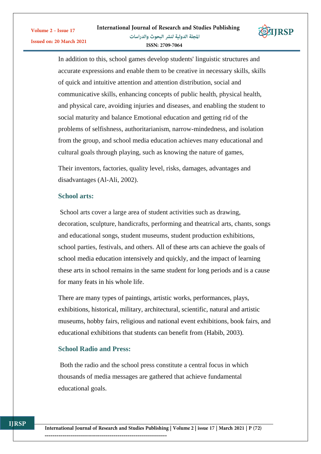

In addition to this, school games develop students' linguistic structures and accurate expressions and enable them to be creative in necessary skills, skills of quick and intuitive attention and attention distribution, social and communicative skills, enhancing concepts of public health, physical health, and physical care, avoiding injuries and diseases, and enabling the student to social maturity and balance Emotional education and getting rid of the problems of selfishness, authoritarianism, narrow-mindedness, and isolation from the group, and school media education achieves many educational and cultural goals through playing, such as knowing the nature of games,

Their inventors, factories, quality level, risks, damages, advantages and disadvantages (Al-Ali, 2002).

## **School arts:**

School arts cover a large area of student activities such as drawing, decoration, sculpture, handicrafts, performing and theatrical arts, chants, songs and educational songs, student museums, student production exhibitions, school parties, festivals, and others. All of these arts can achieve the goals of school media education intensively and quickly, and the impact of learning these arts in school remains in the same student for long periods and is a cause for many feats in his whole life.

There are many types of paintings, artistic works, performances, plays, exhibitions, historical, military, architectural, scientific, natural and artistic museums, hobby fairs, religious and national event exhibitions, book fairs, and educational exhibitions that students can benefit from (Habib, 2003).

# **School Radio and Press:**

Both the radio and the school press constitute a central focus in which thousands of media messages are gathered that achieve fundamental educational goals.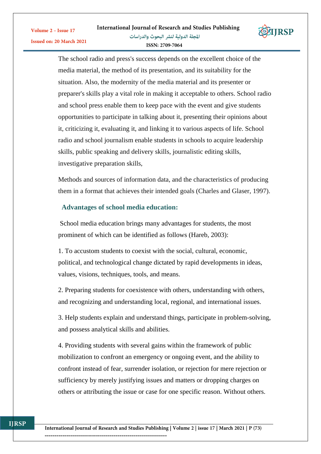

The school radio and press's success depends on the excellent choice of the media material, the method of its presentation, and its suitability for the situation. Also, the modernity of the media material and its presenter or preparer's skills play a vital role in making it acceptable to others. School radio and school press enable them to keep pace with the event and give students opportunities to participate in talking about it, presenting their opinions about it, criticizing it, evaluating it, and linking it to various aspects of life. School radio and school journalism enable students in schools to acquire leadership skills, public speaking and delivery skills, journalistic editing skills, investigative preparation skills,

Methods and sources of information data, and the characteristics of producing them in a format that achieves their intended goals (Charles and Glaser, 1997).

# **Advantages of school media education:**

School media education brings many advantages for students, the most prominent of which can be identified as follows (Hareb, 2003):

1. To accustom students to coexist with the social, cultural, economic, political, and technological change dictated by rapid developments in ideas, values, visions, techniques, tools, and means.

2. Preparing students for coexistence with others, understanding with others, and recognizing and understanding local, regional, and international issues.

3. Help students explain and understand things, participate in problem-solving, and possess analytical skills and abilities.

4. Providing students with several gains within the framework of public mobilization to confront an emergency or ongoing event, and the ability to confront instead of fear, surrender isolation, or rejection for mere rejection or sufficiency by merely justifying issues and matters or dropping charges on others or attributing the issue or case for one specific reason. Without others.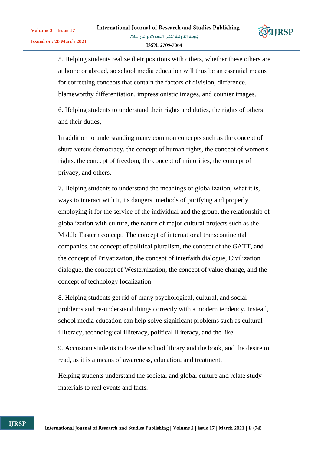

5. Helping students realize their positions with others, whether these others are at home or abroad, so school media education will thus be an essential means for correcting concepts that contain the factors of division, difference, blameworthy differentiation, impressionistic images, and counter images.

6. Helping students to understand their rights and duties, the rights of others and their duties,

In addition to understanding many common concepts such as the concept of shura versus democracy, the concept of human rights, the concept of women's rights, the concept of freedom, the concept of minorities, the concept of privacy, and others.

7. Helping students to understand the meanings of globalization, what it is, ways to interact with it, its dangers, methods of purifying and properly employing it for the service of the individual and the group, the relationship of globalization with culture, the nature of major cultural projects such as the Middle Eastern concept, The concept of international transcontinental companies, the concept of political pluralism, the concept of the GATT, and the concept of Privatization, the concept of interfaith dialogue, Civilization dialogue, the concept of Westernization, the concept of value change, and the concept of technology localization.

8. Helping students get rid of many psychological, cultural, and social problems and re-understand things correctly with a modern tendency. Instead, school media education can help solve significant problems such as cultural illiteracy, technological illiteracy, political illiteracy, and the like.

9. Accustom students to love the school library and the book, and the desire to read, as it is a means of awareness, education, and treatment.

Helping students understand the societal and global culture and relate study materials to real events and facts.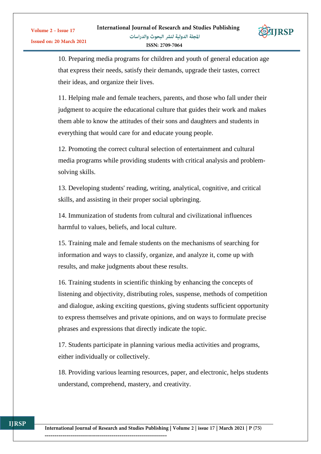

10. Preparing media programs for children and youth of general education age that express their needs, satisfy their demands, upgrade their tastes, correct their ideas, and organize their lives.

11. Helping male and female teachers, parents, and those who fall under their judgment to acquire the educational culture that guides their work and makes them able to know the attitudes of their sons and daughters and students in everything that would care for and educate young people.

12. Promoting the correct cultural selection of entertainment and cultural media programs while providing students with critical analysis and problemsolving skills.

13. Developing students' reading, writing, analytical, cognitive, and critical skills, and assisting in their proper social upbringing.

14. Immunization of students from cultural and civilizational influences harmful to values, beliefs, and local culture.

15. Training male and female students on the mechanisms of searching for information and ways to classify, organize, and analyze it, come up with results, and make judgments about these results.

16. Training students in scientific thinking by enhancing the concepts of listening and objectivity, distributing roles, suspense, methods of competition and dialogue, asking exciting questions, giving students sufficient opportunity to express themselves and private opinions, and on ways to formulate precise phrases and expressions that directly indicate the topic.

17. Students participate in planning various media activities and programs, either individually or collectively.

18. Providing various learning resources, paper, and electronic, helps students understand, comprehend, mastery, and creativity.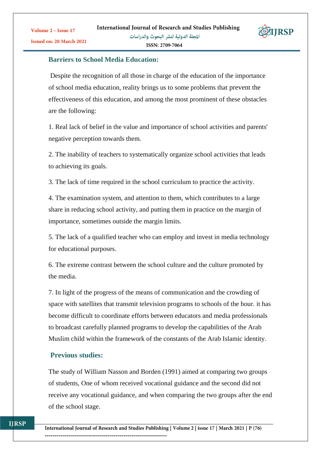

# **Barriers to School Media Education:**

Despite the recognition of all those in charge of the education of the importance of school media education, reality brings us to some problems that prevent the effectiveness of this education, and among the most prominent of these obstacles are the following:

1. Real lack of belief in the value and importance of school activities and parents' negative perception towards them.

2. The inability of teachers to systematically organize school activities that leads to achieving its goals.

3. The lack of time required in the school curriculum to practice the activity.

4. The examination system, and attention to them, which contributes to a large share in reducing school activity, and putting them in practice on the margin of importance, sometimes outside the margin limits.

5. The lack of a qualified teacher who can employ and invest in media technology for educational purposes.

6. The extreme contrast between the school culture and the culture promoted by the media.

7. In light of the progress of the means of communication and the crowding of space with satellites that transmit television programs to schools of the hour. it has become difficult to coordinate efforts between educators and media professionals to broadcast carefully planned programs to develop the capabilities of the Arab Muslim child within the framework of the constants of the Arab Islamic identity.

#### **Previous studies:**

The study of William Nasson and Borden (1991) aimed at comparing two groups of students, One of whom received vocational guidance and the second did not receive any vocational guidance, and when comparing the two groups after the end of the school stage.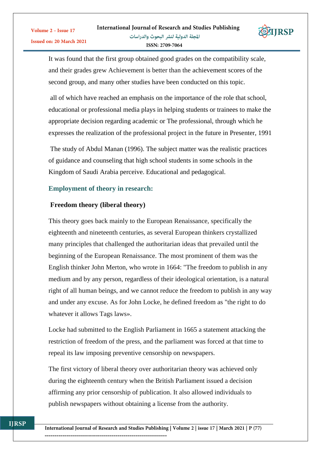

It was found that the first group obtained good grades on the compatibility scale, and their grades grew Achievement is better than the achievement scores of the second group, and many other studies have been conducted on this topic.

all of which have reached an emphasis on the importance of the role that school, educational or professional media plays in helping students or trainees to make the appropriate decision regarding academic or The professional, through which he expresses the realization of the professional project in the future in Presenter, 1991

The study of Abdul Manan (1996). The subject matter was the realistic practices of guidance and counseling that high school students in some schools in the Kingdom of Saudi Arabia perceive. Educational and pedagogical.

## **Employment of theory in research:**

#### **Freedom theory (liberal theory)**

This theory goes back mainly to the European Renaissance, specifically the eighteenth and nineteenth centuries, as several European thinkers crystallized many principles that challenged the authoritarian ideas that prevailed until the beginning of the European Renaissance. The most prominent of them was the English thinker John Merton, who wrote in 1664: "The freedom to publish in any medium and by any person, regardless of their ideological orientation, is a natural right of all human beings, and we cannot reduce the freedom to publish in any way and under any excuse. As for John Locke, he defined freedom as "the right to do whatever it allows Tags laws».

Locke had submitted to the English Parliament in 1665 a statement attacking the restriction of freedom of the press, and the parliament was forced at that time to repeal its law imposing preventive censorship on newspapers.

The first victory of liberal theory over authoritarian theory was achieved only during the eighteenth century when the British Parliament issued a decision affirming any prior censorship of publication. It also allowed individuals to publish newspapers without obtaining a license from the authority.

**ITRSP**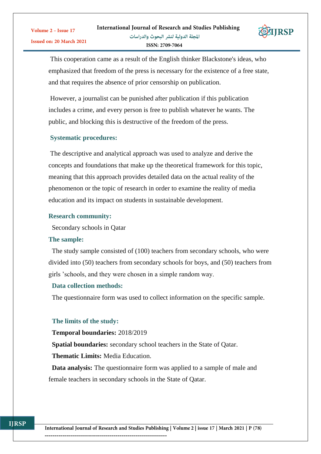

This cooperation came as a result of the English thinker Blackstone's ideas, who emphasized that freedom of the press is necessary for the existence of a free state, and that requires the absence of prior censorship on publication.

However, a journalist can be punished after publication if this publication includes a crime, and every person is free to publish whatever he wants. The public, and blocking this is destructive of the freedom of the press.

#### **Systematic procedures:**

The descriptive and analytical approach was used to analyze and derive the concepts and foundations that make up the theoretical framework for this topic, meaning that this approach provides detailed data on the actual reality of the phenomenon or the topic of research in order to examine the reality of media education and its impact on students in sustainable development.

#### **Research community:**

Secondary schools in Qatar

#### **The sample:**

 The study sample consisted of (100) teachers from secondary schools, who were divided into (50) teachers from secondary schools for boys, and (50) teachers from girls 'schools, and they were chosen in a simple random way.

#### **Data collection methods:**

The questionnaire form was used to collect information on the specific sample.

#### **The limits of the study:**

**Temporal boundaries:** 2018/2019

 **Spatial boundaries:** secondary school teachers in the State of Qatar.

**Thematic Limits:** Media Education.

 **Data analysis:** The questionnaire form was applied to a sample of male and female teachers in secondary schools in the State of Qatar.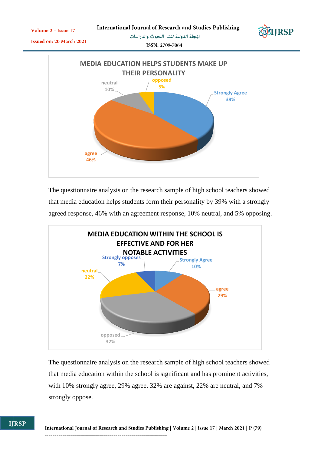

The questionnaire analysis on the research sample of high school teachers showed that media education helps students form their personality by 39% with a strongly agreed response, 46% with an agreement response, 10% neutral, and 5% opposing.



The questionnaire analysis on the research sample of high school teachers showed that media education within the school is significant and has prominent activities, with 10% strongly agree, 29% agree, 32% are against, 22% are neutral, and 7% strongly oppose.

**IJRSP**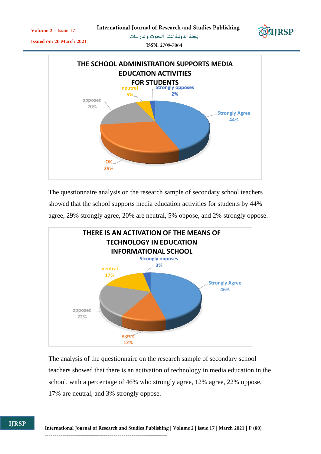

The questionnaire analysis on the research sample of secondary school teachers showed that the school supports media education activities for students by 44% agree, 29% strongly agree, 20% are neutral, 5% oppose, and 2% strongly oppose.



The analysis of the questionnaire on the research sample of secondary school teachers showed that there is an activation of technology in media education in the school, with a percentage of 46% who strongly agree, 12% agree, 22% oppose, 17% are neutral, and 3% strongly oppose.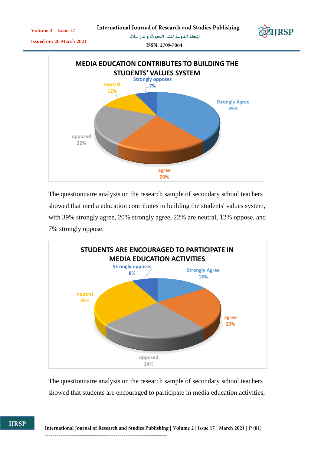



The questionnaire analysis on the research sample of secondary school teachers showed that media education contributes to building the students' values system, with 39% strongly agree, 20% strongly agree, 22% are neutral, 12% oppose, and 7% strongly oppose.



The questionnaire analysis on the research sample of secondary school teachers showed that students are encouraged to participate in media education activities,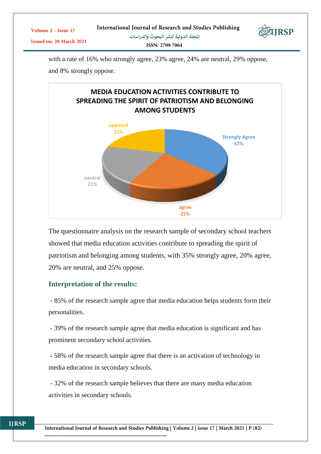| Volume $2 -$ Issue 17           | International Journal of Research and Studies Publishing | EXIJRSP |
|---------------------------------|----------------------------------------------------------|---------|
| <b>Issued on: 20 March 2021</b> | المجلة الدولية لنشر البحوث والدراسات                     |         |
|                                 | ISSN: 2709-7064                                          |         |

with a rate of 16% who strongly agree, 23% agree, 24% are neutral, 29% oppose, and 8% strongly oppose.



The questionnaire analysis on the research sample of secondary school teachers showed that media education activities contribute to spreading the spirit of patriotism and belonging among students, with 35% strongly agree, 20% agree, 20% are neutral, and 25% oppose.

# **Interpretation of the results:**

- 85% of the research sample agree that media education helps students form their personalities.

- 39% of the research sample agree that media education is significant and has prominent secondary school activities.

- 58% of the research sample agree that there is an activation of technology in media education in secondary schools.

- 32% of the research sample believes that there are many media education activities in secondary schools.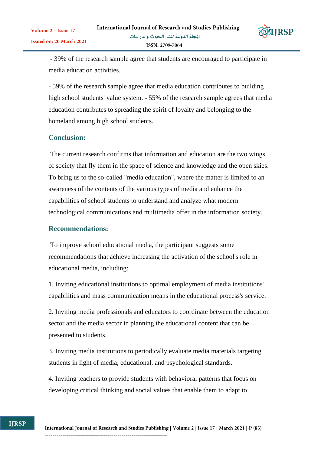

- 39% of the research sample agree that students are encouraged to participate in media education activities.

- 59% of the research sample agree that media education contributes to building high school students' value system. - 55% of the research sample agrees that media education contributes to spreading the spirit of loyalty and belonging to the homeland among high school students.

# **Conclusion:**

The current research confirms that information and education are the two wings of society that fly them in the space of science and knowledge and the open skies. To bring us to the so-called "media education", where the matter is limited to an awareness of the contents of the various types of media and enhance the capabilities of school students to understand and analyze what modern technological communications and multimedia offer in the information society.

# **Recommendations:**

To improve school educational media, the participant suggests some recommendations that achieve increasing the activation of the school's role in educational media, including:

1. Inviting educational institutions to optimal employment of media institutions' capabilities and mass communication means in the educational process's service.

2. Inviting media professionals and educators to coordinate between the education sector and the media sector in planning the educational content that can be presented to students.

3. Inviting media institutions to periodically evaluate media materials targeting students in light of media, educational, and psychological standards.

4. Inviting teachers to provide students with behavioral patterns that focus on developing critical thinking and social values that enable them to adapt to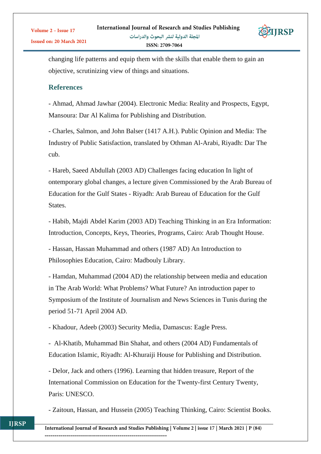

changing life patterns and equip them with the skills that enable them to gain an objective, scrutinizing view of things and situations.

# **References**

- Ahmad, Ahmad Jawhar (2004). Electronic Media: Reality and Prospects, Egypt, Mansoura: Dar Al Kalima for Publishing and Distribution.

- Charles, Salmon, and John Balser (1417 A.H.). Public Opinion and Media: The Industry of Public Satisfaction, translated by Othman Al-Arabi, Riyadh: Dar The cub.

- Hareb, Saeed Abdullah (2003 AD) Challenges facing education In light of ontemporary global changes, a lecture given Commissioned by the Arab Bureau of Education for the Gulf States - Riyadh: Arab Bureau of Education for the Gulf **States** 

- Habib, Majdi Abdel Karim (2003 AD) Teaching Thinking in an Era Information: Introduction, Concepts, Keys, Theories, Programs, Cairo: Arab Thought House.

- Hassan, Hassan Muhammad and others (1987 AD) An Introduction to Philosophies Education, Cairo: Madbouly Library.

- Hamdan, Muhammad (2004 AD) the relationship between media and education in The Arab World: What Problems? What Future? An introduction paper to Symposium of the Institute of Journalism and News Sciences in Tunis during the period 51-71 April 2004 AD.

- Khadour, Adeeb (2003) Security Media, Damascus: Eagle Press.

- Al-Khatib, Muhammad Bin Shahat, and others (2004 AD) Fundamentals of Education Islamic, Riyadh: Al-Khuraiji House for Publishing and Distribution.

- Delor, Jack and others (1996). Learning that hidden treasure, Report of the International Commission on Education for the Twenty-first Century Twenty, Paris: UNESCO.

- Zaitoun, Hassan, and Hussein (2005) Teaching Thinking, Cairo: Scientist Books.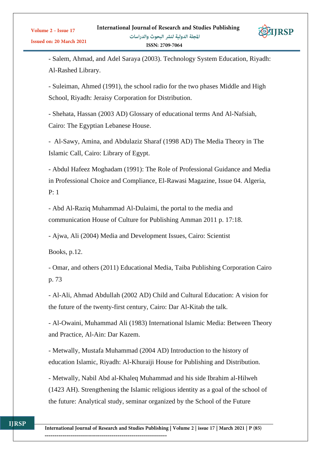

- Salem, Ahmad, and Adel Saraya (2003). Technology System Education, Riyadh: Al-Rashed Library.

- Suleiman, Ahmed (1991), the school radio for the two phases Middle and High School, Riyadh: Jeraisy Corporation for Distribution.

- Shehata, Hassan (2003 AD) Glossary of educational terms And Al-Nafsiah, Cairo: The Egyptian Lebanese House.

- Al-Sawy, Amina, and Abdulaziz Sharaf (1998 AD) The Media Theory in The Islamic Call, Cairo: Library of Egypt.

- Abdul Hafeez Moghadam (1991): The Role of Professional Guidance and Media in Professional Choice and Compliance, El-Rawasi Magazine, Issue 04. Algeria, P: 1

- Abd Al-Raziq Muhammad Al-Dulaimi, the portal to the media and communication House of Culture for Publishing Amman 2011 p. 17:18.

- Ajwa, Ali (2004) Media and Development Issues, Cairo: Scientist

Books, p.12.

- Omar, and others (2011) Educational Media, Taiba Publishing Corporation Cairo p. 73

- Al-Ali, Ahmad Abdullah (2002 AD) Child and Cultural Education: A vision for the future of the twenty-first century, Cairo: Dar Al-Kitab the talk.

- Al-Owaini, Muhammad Ali (1983) International Islamic Media: Between Theory and Practice, Al-Ain: Dar Kazem.

- Metwally, Mustafa Muhammad (2004 AD) Introduction to the history of education Islamic, Riyadh: Al-Khuraiji House for Publishing and Distribution.

- Metwally, Nabil Abd al-Khaleq Muhammad and his side Ibrahim al-Hilweh (1423 AH). Strengthening the Islamic religious identity as a goal of the school of the future: Analytical study, seminar organized by the School of the Future